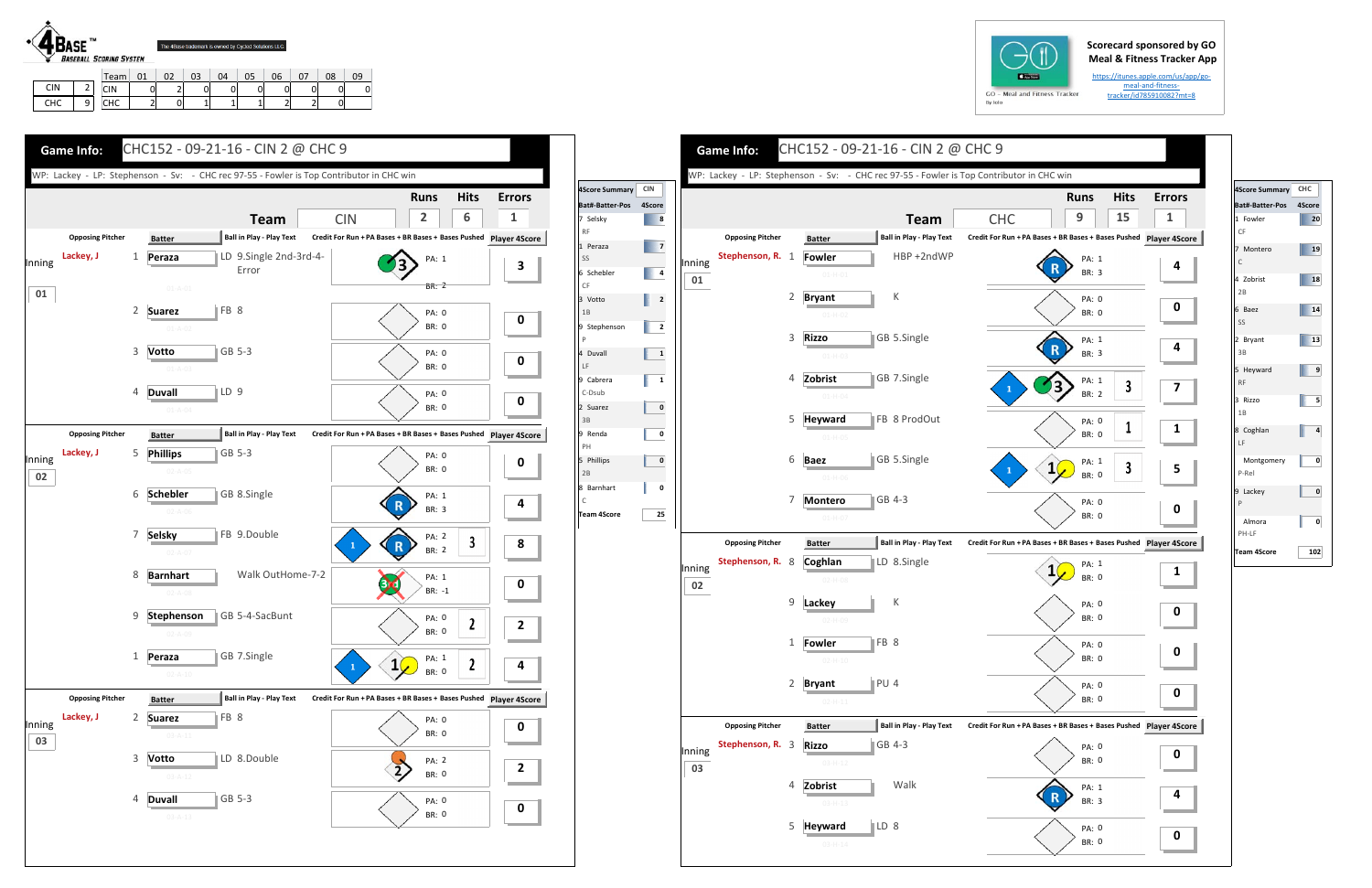## **Scorecard sponsored by GO Meal & Fitness Tracker App**

https://itunes.apple.com/us/app/go‐ meal-and-fitnesstracker/id785910082?mt=8



CHC

9

CIN | 0 | 2 | 0 | 0 | 0 | 0 | 0 | 0 | 0 CHC | 2| 0| 1| 1| 1| 2| 2| 0







| 4Score Summary CHC        |        |
|---------------------------|--------|
| Bat#-Batter-Pos           | 4Score |
| 1 Fowler<br>CF            | 20     |
| 7 Montero<br>$\mathsf{C}$ | 19     |
| 4 Zobrist<br>2B           | 18     |
| 6 Baez<br>SS              | 14     |
| 2 Bryant<br>3B            | 13     |
| 5 Heyward<br><b>RF</b>    | 9      |
| 3 Rizzo<br>1B             | 5      |
| 8 Coghlan<br>LF           | 4      |
| Montgomery<br>P-Rel       | 0      |
| 9 Lackey<br>P             | 0      |
| Almora<br>PH-LF           | 0      |
| Team 4Score               | 102    |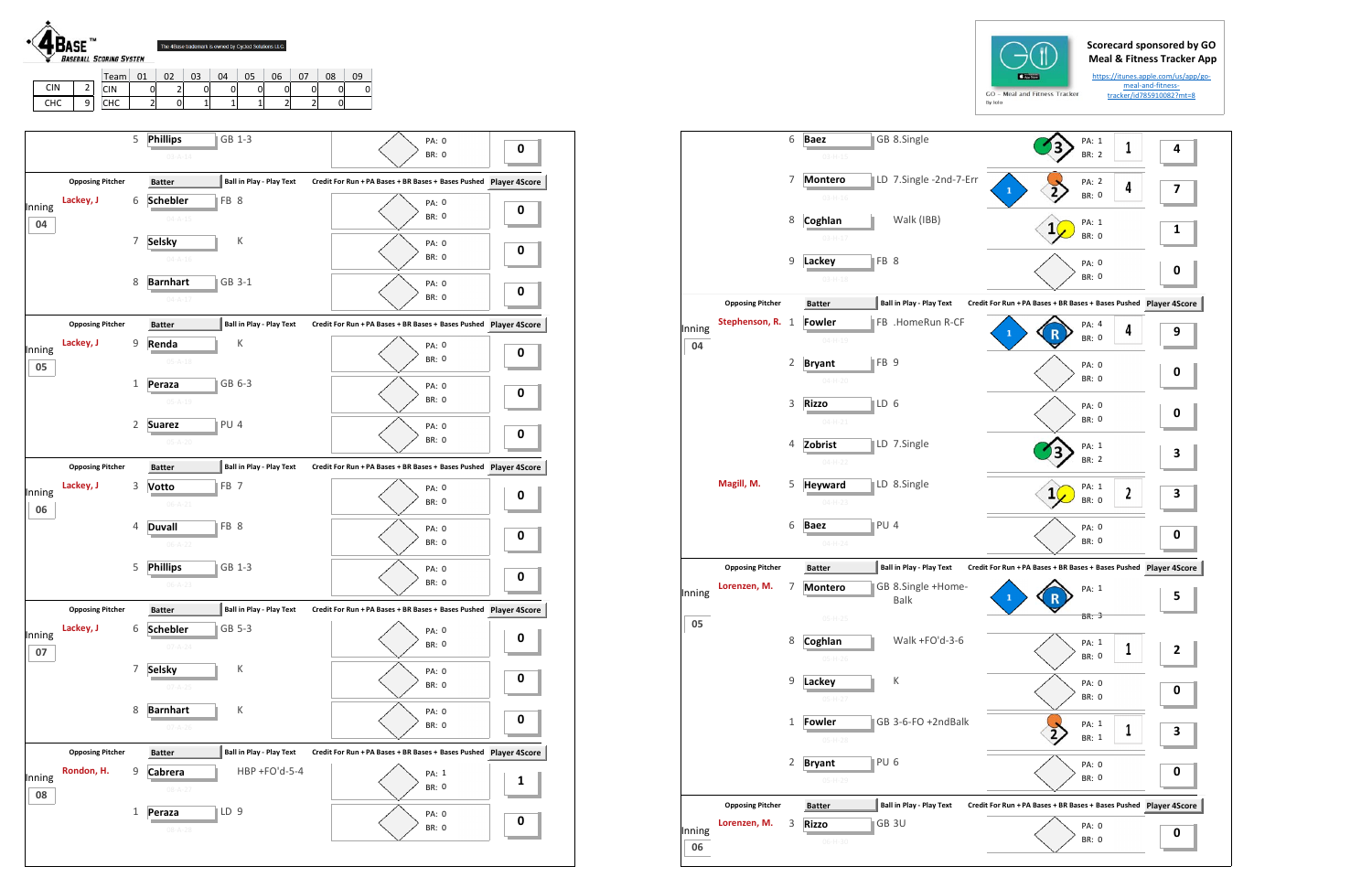

|     |        | Team.                 | 01     | n,<br>UZ                      | 03 | 04 | 05 | 06 | $\sim$ | 08 | 09 |
|-----|--------|-----------------------|--------|-------------------------------|----|----|----|----|--------|----|----|
| CIN | -      | CIN                   | ັ      | $\overline{\phantom{a}}$<br>- | U  |    | 0  | ີ  |        | 0  |    |
| снс | a<br>- | $\sim$ $\sim$<br>៴៲៶៴ | ∼<br>- | U                             | -  |    |    | -  |        | 01 |    |





**04**

**05**

**06**

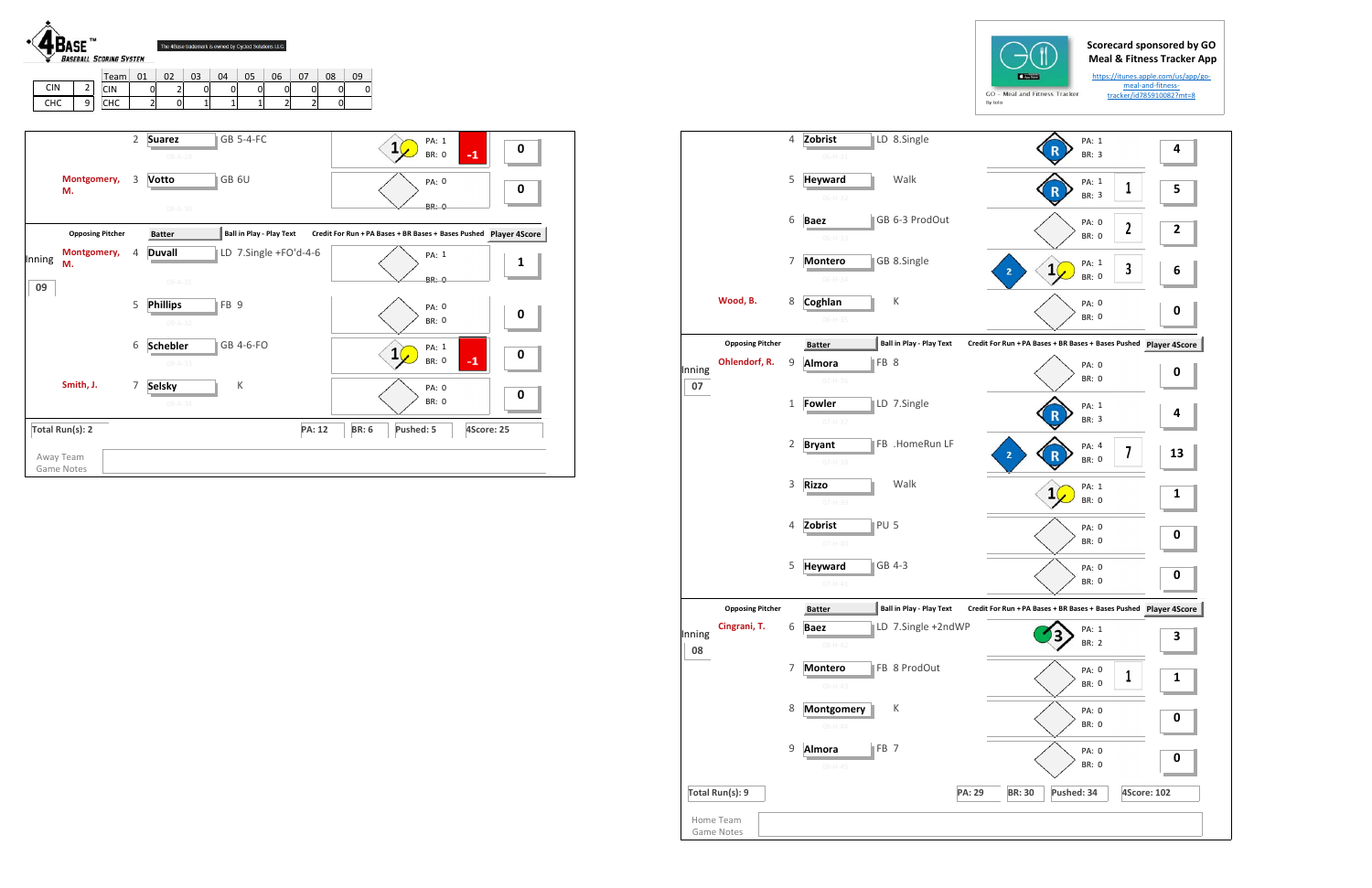## **Scorecard sponsored by GO Meal & Fitness Tracker App**

https://itunes.apple.com/us/app/go‐ meal‐and‐fitness‐ tracker/id785910082?mt=8

| <b>CIN</b><br><b>CHC</b> | Team<br>$\mathbf{2}$<br><b>CIN</b><br>9<br>CHC | 01             | 02<br>03<br>04<br>05<br>06<br>07<br>0<br>2<br>0<br>$\pmb{0}$<br>0<br>0<br>0<br>$\overline{c}$<br>$\overline{\mathbf{c}}$<br>$\mathbf 1$<br>$\mathbf{1}$<br>$\overline{2}$<br><sub>0</sub><br>$\mathbf{1}$ | 09<br>08<br>$\overline{0}$<br>$\mathsf{O}$<br>0                   |
|--------------------------|------------------------------------------------|----------------|-----------------------------------------------------------------------------------------------------------------------------------------------------------------------------------------------------------|-------------------------------------------------------------------|
|                          |                                                | $\overline{2}$ | <b>GB 5-4-FC</b><br><b>Suarez</b><br>$08 - A - 29$                                                                                                                                                        | PA: 1<br>$\mathbf{1}$<br>0<br>$-1$<br><b>BR: 0</b>                |
|                          | Montgomery,<br>M.                              | 3              | GB <sub>6U</sub><br>Votto<br>$08 - A - 30$                                                                                                                                                                | PA: 0<br>0<br><b>BR: 0</b>                                        |
|                          | <b>Opposing Pitcher</b>                        |                | Ball in Play - Play Text<br><b>Batter</b>                                                                                                                                                                 | Credit For Run + PA Bases + BR Bases + Bases Pushed Player 4Score |
| Inning                   | Montgomery,<br>M.                              | 4              | LD 7.Single +FO'd-4-6<br><b>Duvall</b><br>$09 - A - 31$                                                                                                                                                   | PA: 1<br>1<br><b>BR: 0</b>                                        |
| 09                       |                                                | 5              | <b>Phillips</b><br>FB <sub>9</sub><br>$09 - A - 32$                                                                                                                                                       | <b>PA: 0</b><br>0<br><b>BR: 0</b>                                 |
|                          |                                                | 6              | GB 4-6-FO<br><b>Schebler</b><br>$09 - A - 33$                                                                                                                                                             | PA: 1<br>$\mathbf{1}$<br>0<br>$-1$<br><b>BR: 0</b>                |
|                          | Smith, J.                                      | $\overline{7}$ | К<br><b>Selsky</b><br>$09 - A - 34$                                                                                                                                                                       | PA: 0<br>0<br><b>BR: 0</b>                                        |

|              | Total Run(s): 9<br>Home Team |                |                                                  |                                 | <b>PA: 29</b> | <b>BR: 30</b>  | Pushed: 34                                                                    |              | <b>4Score: 102</b> |
|--------------|------------------------------|----------------|--------------------------------------------------|---------------------------------|---------------|----------------|-------------------------------------------------------------------------------|--------------|--------------------|
|              |                              | 9              | FB <sub>7</sub><br>Almora<br>$08 - H - 45$       |                                 |               |                | PA: 0<br>BR: 0                                                                |              | $\bf{0}$           |
|              |                              | 8              | Montgomery<br>$08 - H - 44$                      | К                               |               |                | PA: 0<br><b>BR: 0</b>                                                         |              | 0                  |
|              |                              | $\overline{7}$ | <b>Montero</b><br>$08 - H - 43$                  | <b>FB 8 ProdOut</b>             |               |                | PA: 0<br><b>BR: 0</b>                                                         | 1            | $\mathbf{1}$       |
| Inning<br>08 | Cingrani, T.                 | 6              | <b>Baez</b><br>$08 - H - 42$                     | LD 7.Single +2ndWP              |               |                | PA: 1<br><b>BR: 2</b>                                                         |              | 3                  |
|              | <b>Opposing Pitcher</b>      |                | $07 - H - 41$<br><b>Batter</b>                   | <b>Ball in Play - Play Text</b> |               |                | <b>BR: 0</b><br>Credit For Run + PA Bases + BR Bases + Bases Pushed Player 4S |              | $\bf{0}$           |
|              |                              | 4<br>5         | Zobrist<br>$07 - H - 40$<br><b>Heyward</b>       | GB 4-3                          |               |                | PA: 0<br><b>BR: 0</b><br>PA: 0                                                |              | $\bf{0}$           |
|              |                              | $\mathsf 3$    | <b>Rizzo</b><br>$07 - H - 39$<br>PU <sub>5</sub> | Walk                            |               |                | PA: 1<br>1<br>BR: 0                                                           |              | 1                  |
|              |                              | 2              | <b>Bryant</b><br>$07-H-38$                       | FB .HomeRun LF                  |               | 2              | PA: 4<br><b>BR: 0</b>                                                         | 7            | 13                 |
|              |                              | $\mathbf{1}$   | <b>Fowler</b><br>$07 - H - 37$                   | LD 7.Single                     |               |                | PA: 1<br>BR: 3                                                                |              | 4                  |
| Inning<br>07 | Ohlendorf, R.                | 9              | FB 8<br>Almora<br>$07 - H - 36$                  |                                 |               |                | PA: 0<br>BR: 0                                                                |              | 0                  |
|              | <b>Opposing Pitcher</b>      |                | <b>Batter</b>                                    | <b>Ball in Play - Play Text</b> |               |                | Credit For Run + PA Bases + BR Bases + Bases Pushed Player 4So                |              |                    |
|              | Wood, B.                     | 8              | Coghlan<br>$06-H-35$                             | Κ                               |               |                | PA: 0<br><b>BR: 0</b>                                                         |              | $\bf{0}$           |
|              |                              | 7              | <b>Montero</b><br>$06-H-34$                      | GB 8.Single                     |               | $\overline{2}$ | PA: 1<br>1<br><b>BR: 0</b>                                                    | 3            | 6                  |
|              |                              | 6              | <b>Baez</b><br>$06-H-33$                         | GB 6-3 ProdOut                  |               |                | PA: 0<br><b>BR: 0</b>                                                         | $\mathbf{2}$ | $\mathbf{2}$       |
|              |                              | 5              | <b>Heyward</b><br>$06-H-32$                      | Walk                            |               |                | PA: 1<br><b>BR: 3</b>                                                         | 1            | 5                  |
|              |                              | 4              | Zobrist<br>$06 - H - 31$                         | LD 8.Single                     |               |                | PA: 1<br>BR: 3                                                                |              | 4                  |